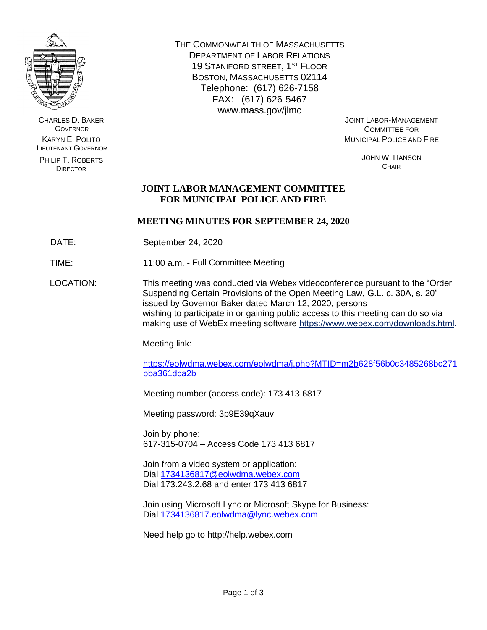

CHARLES D. BAKER **GOVERNOR** KARYN E. POLITO LIEUTENANT GOVERNOR

PHILIP T. ROBERTS DIRECTOR

THE COMMONWEALTH OF MASSACHUSETTS DEPARTMENT OF LABOR RELATIONS 19 STANIFORD STREET, 1<sup>ST</sup> FLOOR BOSTON, MASSACHUSETTS 02114 Telephone: (617) 626-7158 FAX: (617) 626-5467 www.mass.gov/jlmc

JOINT LABOR-MANAGEMENT COMMITTEE FOR MUNICIPAL POLICE AND FIRE

> JOHN W. HANSON **CHAIR**

# **JOINT LABOR MANAGEMENT COMMITTEE FOR MUNICIPAL POLICE AND FIRE**

## **MEETING MINUTES FOR SEPTEMBER 24, 2020**

DATE: September 24, 2020

TIME: 11:00 a.m. - Full Committee Meeting

LOCATION: This meeting was conducted via Webex videoconference pursuant to the "Order Suspending Certain Provisions of the Open Meeting Law, G.L. c. 30A, s. 20" issued by Governor Baker dated March 12, 2020, persons wishing to participate in or gaining public access to this meeting can do so via making use of WebEx meeting software [https://www.webex.com/downloads.html.](https://www.webex.com/downloads.html)

Meeting link:

[https://eolwdma.webex.com/eolwdma/j.php?MTID=m2b6](https://eolwdma.webex.com/eolwdma/j.php?MTID=m2b)28f56b0c3485268bc271 bba361dca2b

Meeting number (access code): 173 413 6817

Meeting password: 3p9E39qXauv

Join by phone: 617-315-0704 – Access Code 173 413 6817

Join from a video system or application: Dial [1734136817@eolwdma.webex.com](mailto:1734136817@eolwdma.webex.com) Dial 173.243.2.68 and enter 173 413 6817

Join using Microsoft Lync or Microsoft Skype for Business: Dial [1734136817.eolwdma@lync.webex.com](mailto:1734136817.eolwdma@lync.webex.com)

Need help go to http://help.webex.com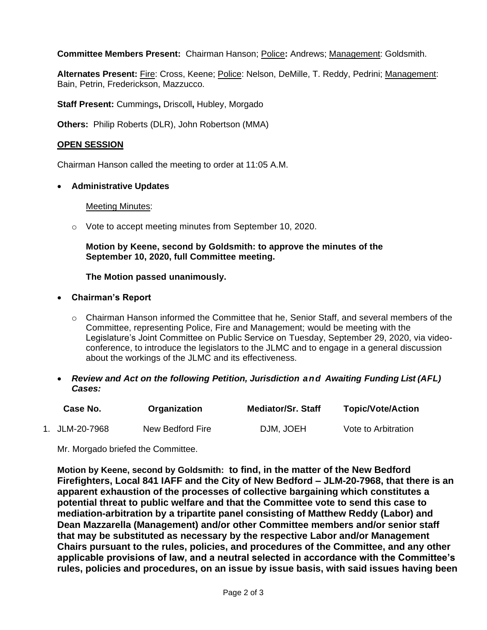**Committee Members Present:** Chairman Hanson; Police**:** Andrews; Management: Goldsmith.

Alternates Present: Fire: Cross, Keene; Police: Nelson, DeMille, T. Reddy, Pedrini; Management: Bain, Petrin, Frederickson, Mazzucco.

**Staff Present:** Cummings**,** Driscoll**,** Hubley, Morgado

**Others:** Philip Roberts (DLR), John Robertson (MMA)

### **OPEN SESSION**

Chairman Hanson called the meeting to order at 11:05 A.M.

#### • **Administrative Updates**

Meeting Minutes:

o Vote to accept meeting minutes from September 10, 2020.

### **Motion by Keene, second by Goldsmith: to approve the minutes of the September 10, 2020, full Committee meeting.**

### **The Motion passed unanimously.**

- **Chairman's Report**
	- $\circ$  Chairman Hanson informed the Committee that he, Senior Staff, and several members of the Committee, representing Police, Fire and Management; would be meeting with the Legislature's Joint Committee on Public Service on Tuesday, September 29, 2020, via videoconference, to introduce the legislators to the JLMC and to engage in a general discussion about the workings of the JLMC and its effectiveness.
- *Review and Act on the following Petition, Jurisdiction and Awaiting Funding List (AFL) Cases:*

| Case No.       | Organization     | <b>Mediator/Sr. Staff</b> | <b>Topic/Vote/Action</b> |
|----------------|------------------|---------------------------|--------------------------|
| 1. JLM-20-7968 | New Bedford Fire | DJM, JOEH                 | Vote to Arbitration      |

Mr. Morgado briefed the Committee.

**Motion by Keene, second by Goldsmith: to find, in the matter of the New Bedford Firefighters, Local 841 IAFF and the City of New Bedford – JLM-20-7968, that there is an apparent exhaustion of the processes of collective bargaining which constitutes a potential threat to public welfare and that the Committee vote to send this case to mediation-arbitration by a tripartite panel consisting of Matthew Reddy (Labor) and Dean Mazzarella (Management) and/or other Committee members and/or senior staff that may be substituted as necessary by the respective Labor and/or Management Chairs pursuant to the rules, policies, and procedures of the Committee, and any other applicable provisions of law, and a neutral selected in accordance with the Committee's rules, policies and procedures, on an issue by issue basis, with said issues having been**